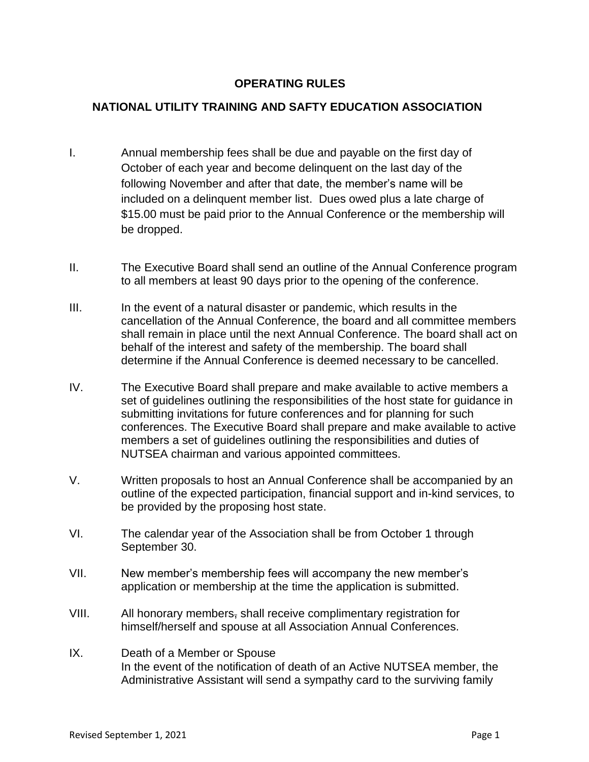## **OPERATING RULES**

## **NATIONAL UTILITY TRAINING AND SAFTY EDUCATION ASSOCIATION**

- I. Annual membership fees shall be due and payable on the first day of October of each year and become delinquent on the last day of the following November and after that date, the member's name will be included on a delinquent member list. Dues owed plus a late charge of \$15.00 must be paid prior to the Annual Conference or the membership will be dropped.
- II. The Executive Board shall send an outline of the Annual Conference program to all members at least 90 days prior to the opening of the conference.
- III. In the event of a natural disaster or pandemic, which results in the cancellation of the Annual Conference, the board and all committee members shall remain in place until the next Annual Conference. The board shall act on behalf of the interest and safety of the membership. The board shall determine if the Annual Conference is deemed necessary to be cancelled.
- IV. The Executive Board shall prepare and make available to active members a set of guidelines outlining the responsibilities of the host state for guidance in submitting invitations for future conferences and for planning for such conferences. The Executive Board shall prepare and make available to active members a set of guidelines outlining the responsibilities and duties of NUTSEA chairman and various appointed committees.
- V. Written proposals to host an Annual Conference shall be accompanied by an outline of the expected participation, financial support and in-kind services, to be provided by the proposing host state.
- VI. The calendar year of the Association shall be from October 1 through September 30.
- VII. New member's membership fees will accompany the new member's application or membership at the time the application is submitted.
- VIII. All honorary members, shall receive complimentary registration for himself/herself and spouse at all Association Annual Conferences.
- IX. Death of a Member or Spouse In the event of the notification of death of an Active NUTSEA member, the Administrative Assistant will send a sympathy card to the surviving family